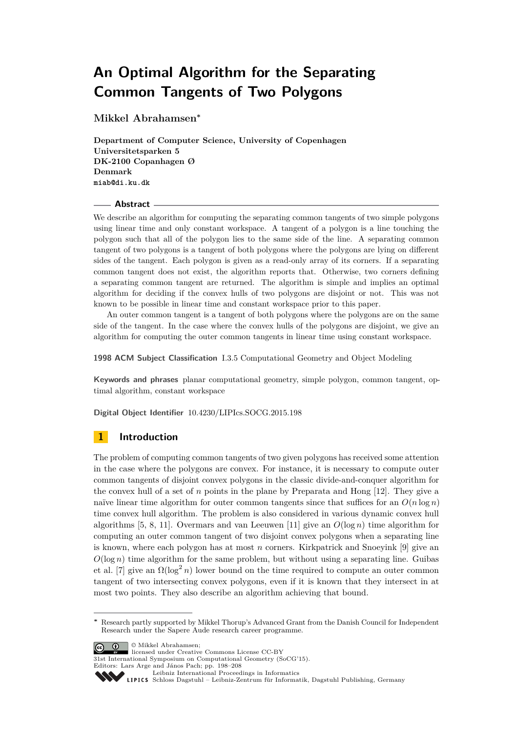# **An Optimal Algorithm for the Separating Common Tangents of Two Polygons**

**Mikkel Abrahamsen<sup>∗</sup>**

**Department of Computer Science, University of Copenhagen Universitetsparken 5 DK-2100 Copanhagen Ø Denmark miab@di.ku.dk**

#### **Abstract**

We describe an algorithm for computing the separating common tangents of two simple polygons using linear time and only constant workspace. A tangent of a polygon is a line touching the polygon such that all of the polygon lies to the same side of the line. A separating common tangent of two polygons is a tangent of both polygons where the polygons are lying on different sides of the tangent. Each polygon is given as a read-only array of its corners. If a separating common tangent does not exist, the algorithm reports that. Otherwise, two corners defining a separating common tangent are returned. The algorithm is simple and implies an optimal algorithm for deciding if the convex hulls of two polygons are disjoint or not. This was not known to be possible in linear time and constant workspace prior to this paper.

An outer common tangent is a tangent of both polygons where the polygons are on the same side of the tangent. In the case where the convex hulls of the polygons are disjoint, we give an algorithm for computing the outer common tangents in linear time using constant workspace.

**1998 ACM Subject Classification** I.3.5 Computational Geometry and Object Modeling

**Keywords and phrases** planar computational geometry, simple polygon, common tangent, optimal algorithm, constant workspace

**Digital Object Identifier** [10.4230/LIPIcs.SOCG.2015.198](http://dx.doi.org/10.4230/LIPIcs.SOCG.2015.198)

# **1 Introduction**

The problem of computing common tangents of two given polygons has received some attention in the case where the polygons are convex. For instance, it is necessary to compute outer common tangents of disjoint convex polygons in the classic divide-and-conquer algorithm for the convex hull of a set of *n* points in the plane by Preparata and Hong [\[12\]](#page-10-0). They give a naïve linear time algorithm for outer common tangents since that suffices for an  $O(n \log n)$ time convex hull algorithm. The problem is also considered in various dynamic convex hull algorithms [\[5,](#page-10-1) [8,](#page-10-2) [11\]](#page-10-3). Overmars and van Leeuwen [\[11\]](#page-10-3) give an  $O(\log n)$  time algorithm for computing an outer common tangent of two disjoint convex polygons when a separating line is known, where each polygon has at most *n* corners. Kirkpatrick and Snoeyink [\[9\]](#page-10-4) give an  $O(\log n)$  time algorithm for the same problem, but without using a separating line. Guibas et al. [\[7\]](#page-10-5) give an  $\Omega(\log^2 n)$  lower bound on the time required to compute an outer common tangent of two intersecting convex polygons, even if it is known that they intersect in at most two points. They also describe an algorithm achieving that bound.

© Mikkel Abrahamsen;  $\boxed{6}$ 

licensed under Creative Commons License CC-BY

31st International Symposium on Computational Geometry (SoCG'15).

Editors: Lars Arge and János Pach; pp. 198[–208](#page-10-6)

[Schloss Dagstuhl – Leibniz-Zentrum für Informatik, Dagstuhl Publishing, Germany](http://www.dagstuhl.de)

**<sup>∗</sup>** Research partly supported by Mikkel Thorup's Advanced Grant from the Danish Council for Independent Research under the Sapere Aude research career programme.

[Leibniz International Proceedings in Informatics](http://www.dagstuhl.de/lipics/)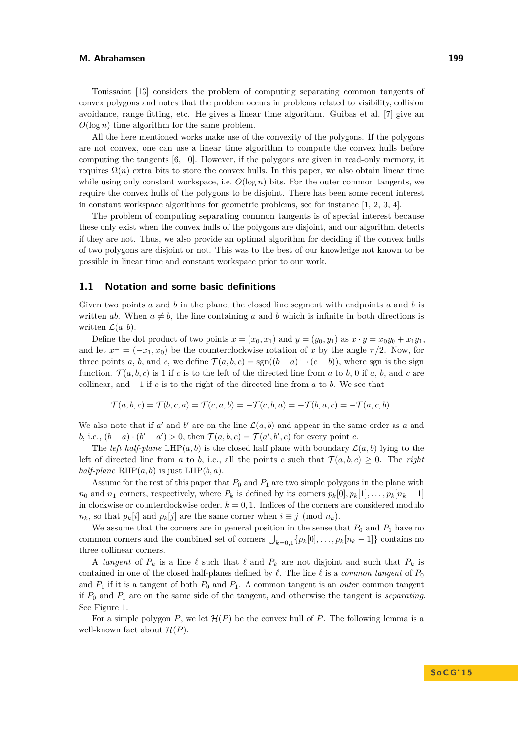Touissaint [\[13\]](#page-10-7) considers the problem of computing separating common tangents of convex polygons and notes that the problem occurs in problems related to visibility, collision avoidance, range fitting, etc. He gives a linear time algorithm. Guibas et al. [\[7\]](#page-10-5) give an *O*(log *n*) time algorithm for the same problem.

All the here mentioned works make use of the convexity of the polygons. If the polygons are not convex, one can use a linear time algorithm to compute the convex hulls before computing the tangents [\[6,](#page-10-8) [10\]](#page-10-9). However, if the polygons are given in read-only memory, it requires  $Ω(n)$  extra bits to store the convex hulls. In this paper, we also obtain linear time while using only constant workspace, i.e.  $O(\log n)$  bits. For the outer common tangents, we require the convex hulls of the polygons to be disjoint. There has been some recent interest in constant workspace algorithms for geometric problems, see for instance [\[1,](#page-10-10) [2,](#page-10-11) [3,](#page-10-12) [4\]](#page-10-13).

The problem of computing separating common tangents is of special interest because these only exist when the convex hulls of the polygons are disjoint, and our algorithm detects if they are not. Thus, we also provide an optimal algorithm for deciding if the convex hulls of two polygons are disjoint or not. This was to the best of our knowledge not known to be possible in linear time and constant workspace prior to our work.

#### **1.1 Notation and some basic definitions**

Given two points *a* and *b* in the plane, the closed line segment with endpoints *a* and *b* is written *ab*. When  $a \neq b$ , the line containing *a* and *b* which is infinite in both directions is written  $\mathcal{L}(a, b)$ .

Define the dot product of two points  $x = (x_0, x_1)$  and  $y = (y_0, y_1)$  as  $x \cdot y = x_0y_0 + x_1y_1$ , and let  $x^{\perp} = (-x_1, x_0)$  be the counterclockwise rotation of x by the angle  $\pi/2$ . Now, for three points *a*, *b*, and *c*, we define  $\mathcal{T}(a, b, c) = \text{sgn}((b - a)^{\perp} \cdot (c - b))$ , where sgn is the sign function.  $\mathcal{T}(a, b, c)$  is 1 if *c* is to the left of the directed line from *a* to *b*, 0 if *a*, *b*, and *c* are collinear, and −1 if *c* is to the right of the directed line from *a* to *b*. We see that

$$
\mathcal{T}(a,b,c) = \mathcal{T}(b,c,a) = \mathcal{T}(c,a,b) = -\mathcal{T}(c,b,a) = -\mathcal{T}(b,a,c) = -\mathcal{T}(a,c,b).
$$

We also note that if  $a'$  and  $b'$  are on the line  $\mathcal{L}(a, b)$  and appear in the same order as a and *b*, i.e.,  $(b-a) \cdot (b'-a') > 0$ , then  $\mathcal{T}(a, b, c) = \mathcal{T}(a', b', c)$  for every point *c*.

The *left half-plane* LHP $(a, b)$  is the closed half plane with boundary  $\mathcal{L}(a, b)$  lying to the left of directed line from *a* to *b*, i.e., all the points *c* such that  $\mathcal{T}(a, b, c) \geq 0$ . The *right half-plane*  $RHP(a, b)$  is just  $LHP(b, a)$ .

Assume for the rest of this paper that  $P_0$  and  $P_1$  are two simple polygons in the plane with  $n_0$  and  $n_1$  corners, respectively, where  $P_k$  is defined by its corners  $p_k[0], p_k[1], \ldots, p_k[n_k-1]$ in clockwise or counterclockwise order,  $k = 0, 1$ . Indices of the corners are considered modulo  $n_k$ , so that  $p_k[i]$  and  $p_k[j]$  are the same corner when  $i \equiv j \pmod{n_k}$ .

We assume that the corners are in general position in the sense that  $P_0$  and  $P_1$  have no common corners and the combined set of corners  $\bigcup_{k=0,1} \{p_k[0], \ldots, p_k[n_k-1]\}$  contains no three collinear corners.

A *tangent* of  $P_k$  is a line  $\ell$  such that  $\ell$  and  $P_k$  are not disjoint and such that  $P_k$  is contained in one of the closed half-planes defined by  $\ell$ . The line  $\ell$  is a *common tangent* of  $P_0$ and  $P_1$  if it is a tangent of both  $P_0$  and  $P_1$ . A common tangent is an *outer* common tangent if *P*<sup>0</sup> and *P*<sup>1</sup> are on the same side of the tangent, and otherwise the tangent is *separating*. See Figure [1.](#page-2-0)

For a simple polygon  $P$ , we let  $\mathcal{H}(P)$  be the convex hull of  $P$ . The following lemma is a well-known fact about  $\mathcal{H}(P)$ .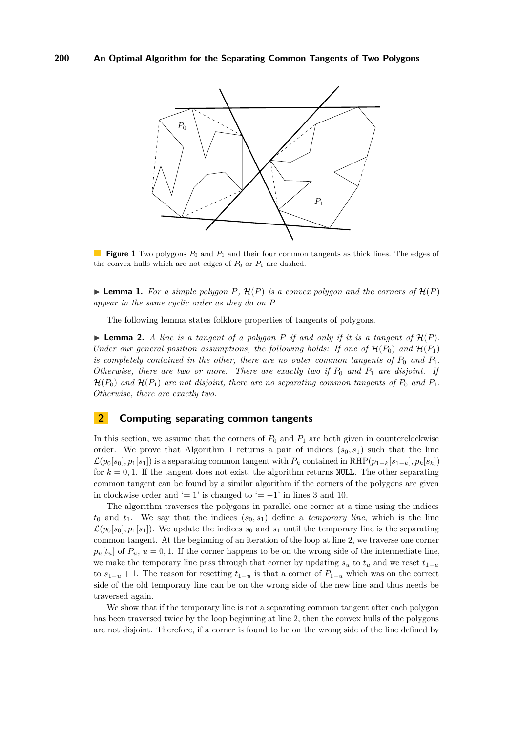<span id="page-2-0"></span>

**Figure 1** Two polygons  $P_0$  and  $P_1$  and their four common tangents as thick lines. The edges of the convex hulls which are not edges of  $P_0$  or  $P_1$  are dashed.

**Lemma 1.** For a simple polygon P,  $\mathcal{H}(P)$  is a convex polygon and the corners of  $\mathcal{H}(P)$ *appear in the same cyclic order as they do on P.*

The following lemma states folklore properties of tangents of polygons.

 $\blacktriangleright$  **Lemma 2.** *A line is a tangent of a polygon P if and only if it is a tangent of*  $\mathcal{H}(P)$ *. Under our general position assumptions, the following holds: If one of*  $\mathcal{H}(P_0)$  *and*  $\mathcal{H}(P_1)$ *is completely contained in the other, there are no outer common tangents of*  $P_0$  *and*  $P_1$ *. Otherwise, there are two or more. There are exactly two if*  $P_0$  *and*  $P_1$  *are disjoint. If*  $\mathcal{H}(P_0)$  and  $\mathcal{H}(P_1)$  are not disjoint, there are no separating common tangents of  $P_0$  and  $P_1$ . *Otherwise, there are exactly two.*

## <span id="page-2-1"></span>**2 Computing separating common tangents**

In this section, we assume that the corners of  $P_0$  and  $P_1$  are both given in counterclockwise order. We prove that Algorithm [1](#page-3-0) returns a pair of indices  $(s_0, s_1)$  such that the line  $\mathcal{L}(p_0[s_0], p_1[s_1])$  is a separating common tangent with  $P_k$  contained in RHP( $p_{1-k}[s_{1-k}], p_k[s_k]$ ) for  $k = 0, 1$ . If the tangent does not exist, the algorithm returns NULL. The other separating common tangent can be found by a similar algorithm if the corners of the polygons are given in clockwise order and  $= 1$ ' is changed to  $= -1$ ' in lines [3](#page-3-1) and [10.](#page-3-2)

The algorithm traverses the polygons in parallel one corner at a time using the indices  $t_0$  and  $t_1$ . We say that the indices  $(s_0, s_1)$  define a *temporary line*, which is the line  $\mathcal{L}(p_0[s_0], p_1[s_1])$ . We update the indices  $s_0$  and  $s_1$  until the temporary line is the separating common tangent. At the beginning of an iteration of the loop at line [2,](#page-3-3) we traverse one corner  $p_u[t_u]$  of  $P_u$ ,  $u = 0, 1$ . If the corner happens to be on the wrong side of the intermediate line, we make the temporary line pass through that corner by updating  $s<sub>u</sub>$  to  $t<sub>u</sub>$  and we reset  $t<sub>1-u</sub>$ to  $s_{1-u}+1$ . The reason for resetting  $t_{1-u}$  is that a corner of  $P_{1-u}$  which was on the correct side of the old temporary line can be on the wrong side of the new line and thus needs be traversed again.

We show that if the temporary line is not a separating common tangent after each polygon has been traversed twice by the loop beginning at line [2,](#page-3-3) then the convex hulls of the polygons are not disjoint. Therefore, if a corner is found to be on the wrong side of the line defined by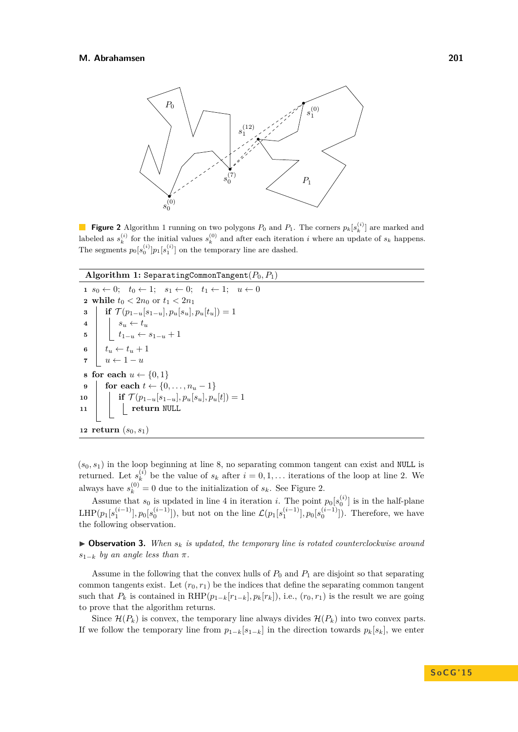<span id="page-3-5"></span>

**Figure 2** Algorithm [1](#page-3-0) running on two polygons  $P_0$  and  $P_1$ . The corners  $p_k[s_k^{(i)}]$  are marked and labeled as  $s_k^{(i)}$  for the initial values  $s_k^{(0)}$  and after each iteration *i* where an update of  $s_k$  happens. The segments  $p_0[s_0^{(i)}]p_1[s_1^{(i)}]$  on the temporary line are dashed.

## **Algorithm 1:** SeparatingCommonTangent(*P*0*, P*1)

<span id="page-3-7"></span><span id="page-3-6"></span><span id="page-3-4"></span><span id="page-3-3"></span><span id="page-3-1"></span>  $s_0 \leftarrow 0; \quad t_0 \leftarrow 1; \quad s_1 \leftarrow 0; \quad t_1 \leftarrow 1; \quad u \leftarrow 0$  **while**  $t_0 < 2n_0$  or  $t_1 < 2n_1$ **if**  $\mathcal{T}(p_{1-u}[s_{1-u}], p_u[s_u], p_u[t_u]) = 1$  $4 \mid s_u \leftarrow t_u$   $t_{1-u} \leftarrow s_{1-u} + 1$   $t_u \leftarrow t_u + 1$   $u \leftarrow 1 - u$  for each  $u \leftarrow \{0, 1\}$  **for each**  $t \leftarrow \{0, ..., n_u - 1\}$  **if**  $\mathcal{T}(p_{1-u}[s_{1-u}], p_u[s_u], p_u[t]) = 1$  **return** NULL **return**  $(s_0, s_1)$ 

<span id="page-3-2"></span><span id="page-3-0"></span> $(s_0, s_1)$  in the loop beginning at line [8,](#page-3-4) no separating common tangent can exist and NULL is returned. Let  $s_k^{(i)}$  $k^{(i)}$  be the value of  $s_k$  after  $i = 0, 1, \ldots$  iterations of the loop at line [2.](#page-3-3) We always have  $s_k^{(0)} = 0$  due to the initialization of  $s_k$ . See Figure [2.](#page-3-5)

Assume that  $s_0$  is updated in line [4](#page-3-6) in iteration *i*. The point  $p_0[s_0^{(i)}]$  is in the half-plane LHP( $p_1[s_1^{(i-1)}], p_0[s_0^{(i-1)}]$ ), but not on the line  $\mathcal{L}(p_1[s_1^{(i-1)}], p_0[s_0^{(i-1)}])$ . Therefore, we have the following observation.

<span id="page-3-8"></span> $\triangleright$  **Observation 3.** When  $s_k$  is updated, the temporary line is rotated counterclockwise around *s*1−*<sup>k</sup> by an angle less than π.*

Assume in the following that the convex hulls of  $P_0$  and  $P_1$  are disjoint so that separating common tangents exist. Let  $(r_0, r_1)$  be the indices that define the separating common tangent such that  $P_k$  is contained in  $RHP(p_{1-k}[r_{1-k}], p_k[r_k])$ , i.e.,  $(r_0, r_1)$  is the result we are going to prove that the algorithm returns.

Since  $\mathcal{H}(P_k)$  is convex, the temporary line always divides  $\mathcal{H}(P_k)$  into two convex parts. If we follow the temporary line from  $p_{1-k}[s_{1-k}]$  in the direction towards  $p_k[s_k]$ , we enter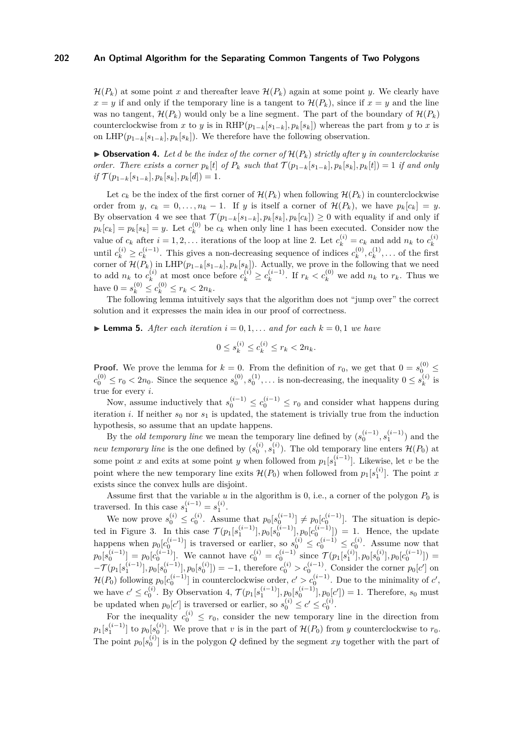#### **202 An Optimal Algorithm for the Separating Common Tangents of Two Polygons**

 $\mathcal{H}(P_k)$  at some point *x* and thereafter leave  $\mathcal{H}(P_k)$  again at some point *y*. We clearly have  $x = y$  if and only if the temporary line is a tangent to  $\mathcal{H}(P_k)$ , since if  $x = y$  and the line was no tangent,  $\mathcal{H}(P_k)$  would only be a line segment. The part of the boundary of  $\mathcal{H}(P_k)$ counterclockwise from *x* to *y* is in RHP $(p_{1-k}[s_{1-k}], p_k[s_k])$  whereas the part from *y* to *x* is on LHP( $p_{1-k}[s_{1-k}], p_k[s_k]$ ). We therefore have the following observation.

<span id="page-4-0"></span> $\triangleright$  **Observation 4.** Let *d* be the index of the corner of  $\mathcal{H}(P_k)$  strictly after *y* in counterclockwise order. There exists a corner  $p_k[t]$  of  $P_k$  such that  $\mathcal{T}(p_{1-k}[s_{1-k}], p_k[s_k], p_k[t]) = 1$  if and only  $if \mathcal{T}(p_{1-k}[s_{1-k}], p_k[s_k], p_k[d]) = 1.$ 

Let  $c_k$  be the index of the first corner of  $\mathcal{H}(P_k)$  when following  $\mathcal{H}(P_k)$  in counterclockwise order from *y*,  $c_k = 0, \ldots, n_k - 1$ . If *y* is itself a corner of  $\mathcal{H}(P_k)$ , we have  $p_k[c_k] = y$ . By observation [4](#page-4-0) we see that  $\mathcal{T}(p_{1-k}[s_{1-k}], p_k[s_k], p_k[c_k]) \geq 0$  with equality if and only if  $p_k[c_k] = p_k[s_k] = y$ . Let  $c_k^{(0)}$  $h_k^{(0)}$  be  $c_k$  when only line [1](#page-3-7) has been executed. Consider now the value of  $c_k$  after  $i = 1, 2, \ldots$  iterations of the loop at line [2.](#page-3-3) Let  $c_k^{(i)} = c_k$  and add  $n_k$  to  $c_k^{(i)}$ *k* until  $c_k^{(i)} \geq c_k^{(i-1)}$  $k_k^{(i-1)}$ . This gives a non-decreasing sequence of indices  $c_k^{(0)}$  $c_k^{(0)}, c_k^{(1)}$  $x_k^{(1)}, \ldots$  of the first corner of  $\mathcal{H}(P_k)$  in  $\text{LHP}(p_{1-k}[s_{1-k}], p_k[s_k])$ . Actually, we prove in the following that we need to add  $n_k$  to  $c_k^{(i)}$ *k*<sup>(*i*)</sup></sub> at most once before  $c_k^{(i)}$  ≥  $c_k^{(i-1)}$  $x_k^{(i-1)}$ . If  $r_k < c_k^{(0)}$  we add  $n_k$  to  $r_k$ . Thus we have  $0 = s_k^{(0)} \le c_k^{(0)} \le r_k < 2n_k$ .

The following lemma intuitively says that the algorithm does not "jump over" the correct solution and it expresses the main idea in our proof of correctness.

<span id="page-4-1"></span> $\blacktriangleright$  **Lemma 5.** *After each iteration*  $i = 0, 1, \ldots$  *and for each*  $k = 0, 1$  *we have* 

$$
0 \le s_k^{(i)} \le c_k^{(i)} \le r_k < 2n_k.
$$

**Proof.** We prove the lemma for  $k = 0$ . From the definition of  $r_0$ , we get that  $0 = s_0^{(0)} \leq$  $c_0^{(0)} \le r_0 < 2n_0$ . Since the sequence  $s_0^{(0)}, s_0^{(1)}, \ldots$  is non-decreasing, the inequality  $0 \le s_k^{(i)}$  $\binom{v}{k}$  is true for every *i*.

Now, assume inductively that  $s_0^{(i-1)} \leq c_0^{(i-1)} \leq r_0$  and consider what happens during iteration *i*. If neither  $s_0$  nor  $s_1$  is updated, the statement is trivially true from the induction hypothesis, so assume that an update happens.

By the *old temporary line* we mean the temporary line defined by  $(s_0^{(i-1)}, s_1^{(i-1)})$  and the *new temporary line* is the one defined by  $(s_0^{(i)}, s_1^{(i)})$ . The old temporary line enters  $\mathcal{H}(P_0)$  at some point *x* and exits at some point *y* when followed from  $p_1[s_1^{(i-1)}]$ . Likewise, let *v* be the point where the new temporary line exits  $\mathcal{H}(P_0)$  when followed from  $p_1[s_1^{(i)}]$ . The point *x* exists since the convex hulls are disjoint.

Assume first that the variable  $u$  in the algorithm is 0, i.e., a corner of the polygon  $P_0$  is traversed. In this case  $s_1^{(i-1)} = s_1^{(i)}$ . 1

We now prove  $s_0^{(i)} \n\t\leq c_0^{(i)}$ . Assume that  $p_0[s_0^{(i-1)}] \neq p_0[c_0^{(i-1)}]$ . The situation is depic-ted in Figure [3.](#page-5-0) In this case  $\mathcal{T}(p_1[s_1^{(i-1)}], p_0[s_0^{(i-1)}], p_0[c_0^{(i-1)}]) = 1$ . Hence, the update happens when  $p_0[c_0^{(i-1)}]$  is traversed or earlier, so  $s_0^{(i)} \le c_0^{(i-1)} \le c_0^{(i)}$ . Assume now that  $p_0[s_0^{(i-1)}] = p_0[c_0^{(i-1)}]$ . We cannot have  $c_0^{(i)} = c_0^{(i-1)}$  since  $\mathcal{T}(p_1[s_1^{(i)}], p_0[s_0^{(i)}], p_0[c_0^{(i-1)}]) =$  $-\mathcal{T}(p_1[s_1^{(i-1)}], p_0[s_0^{(i-1)}], p_0[s_0^{(i)}]) = -1$ , therefore  $c_0^{(i)} > c_0^{(i-1)}$ . Consider the corner  $p_0[c']$  on  $\mathcal{H}(P_0)$  following  $p_0[c_0^{(i-1)}]$  in counterclockwise order,  $c' > c_0^{(i-1)}$ . Due to the minimality of  $c'$ , we have  $c' \le c_0^{(i)}$ . By Observation [4,](#page-4-0)  $\mathcal{T}(p_1[s_1^{(i-1)}], p_0[s_0^{(i-1)}], p_0[c']) = 1$ . Therefore,  $s_0$  must be updated when  $p_0[c']$  is traversed or earlier, so  $s_0^{(i)} \le c' \le c_0^{(i)}$ .

For the inequality  $c_0^{(i)} \n\leq r_0$ , consider the new temporary line in the direction from (*i*)  $p_1[s_1^{(i-1)}]$  to  $p_0[s_0^{(i)}]$ . We prove that *v* is in the part of  $\mathcal{H}(P_0)$  from *y* counterclockwise to *r*<sub>0</sub>. The point  $p_0[s_0^{(i)}]$  is in the polygon *Q* defined by the segment *xy* together with the part of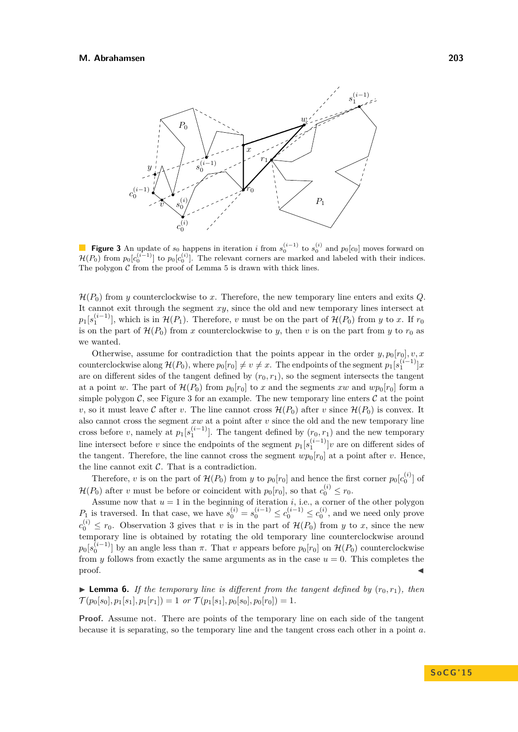<span id="page-5-0"></span>

**Figure 3** An update of  $s_0$  happens in iteration *i* from  $s_0^{(i-1)}$  to  $s_0^{(i)}$  and  $p_0[c_0]$  moves forward on  $\mathcal{H}(P_0)$  from  $p_0[c_0^{(i-1)}]$  to  $p_0[c_0^{(i)}]$ . The relevant corners are marked and labeled with their indices. The polygon  $C$  from the proof of Lemma [5](#page-4-1) is drawn with thick lines.

 $\mathcal{H}(P_0)$  from *y* counterclockwise to *x*. Therefore, the new temporary line enters and exits *Q*. It cannot exit through the segment *xy*, since the old and new temporary lines intersect at  $p_1[s_1^{(i-1)}]$ , which is in  $\mathcal{H}(P_1)$ . Therefore, *v* must be on the part of  $\mathcal{H}(P_0)$  from *y* to *x*. If  $r_0$ is on the part of  $\mathcal{H}(P_0)$  from *x* counterclockwise to *y*, then *v* is on the part from *y* to  $r_0$  as we wanted.

Otherwise, assume for contradiction that the points appear in the order  $y, p_0[r_0], v, x$ counterclockwise along  $\mathcal{H}(P_0)$ , where  $p_0[r_0] \neq v \neq x$ . The endpoints of the segment  $p_1[s_1^{(i-1)}]x$ are on different sides of the tangent defined by  $(r_0, r_1)$ , so the segment intersects the tangent at a point *w*. The part of  $\mathcal{H}(P_0)$  from  $p_0[r_0]$  to *x* and the segments *xw* and  $wp_0[r_0]$  form a simple polygon  $C$ , see Figure [3](#page-5-0) for an example. The new temporary line enters  $C$  at the point *v*, so it must leave C after *v*. The line cannot cross  $\mathcal{H}(P_0)$  after *v* since  $\mathcal{H}(P_0)$  is convex. It also cannot cross the segment *xw* at a point after *v* since the old and the new temporary line cross before *v*, namely at  $p_1[s_1^{(i-1)}]$ . The tangent defined by  $(r_0, r_1)$  and the new temporary line intersect before *v* since the endpoints of the segment  $p_1[s_1^{(i-1)}]v$  are on different sides of the tangent. Therefore, the line cannot cross the segment  $wp_0[r_0]$  at a point after *v*. Hence, the line cannot exit  $C$ . That is a contradiction.

Therefore, *v* is on the part of  $\mathcal{H}(P_0)$  from *y* to  $p_0[r_0]$  and hence the first corner  $p_0[c_0^{(i)}]$  of  $\mathcal{H}(P_0)$  after *v* must be before or coincident with  $p_0[r_0]$ , so that  $c_0^{(i)} \le r_0$ .

Assume now that  $u = 1$  in the beginning of iteration  $i$ , i.e., a corner of the other polygon *P*<sub>1</sub> is traversed. In that case, we have  $s_0^{(i)} = s_0^{(i-1)} \le c_0^{(i-1)} \le c_0^{(i)}$ , and we need only prove  $c_0^{(i)} \leq r_0$ . Observation [3](#page-3-8) gives that *v* is in the part of  $\mathcal{H}(P_0)$  from *y* to *x*, since the new temporary line is obtained by rotating the old temporary line counterclockwise around  $p_0[s_0^{(i-1)}]$  by an angle less than *π*. That *v* appears before  $p_0[r_0]$  on  $\mathcal{H}(P_0)$  counterclockwise from *y* follows from exactly the same arguments as in the case  $u = 0$ . This completes the  $\blacksquare$ proof.

<span id="page-5-1"></span> $\blacktriangleright$  **Lemma 6.** *If the temporary line is different from the tangent defined by*  $(r_0, r_1)$ *, then*  $\mathcal{T}(p_0[s_0], p_1[s_1], p_1[r_1]) = 1$  *or*  $\mathcal{T}(p_1[s_1], p_0[s_0], p_0[r_0]) = 1$ *.* 

Proof. Assume not. There are points of the temporary line on each side of the tangent because it is separating, so the temporary line and the tangent cross each other in a point *a*.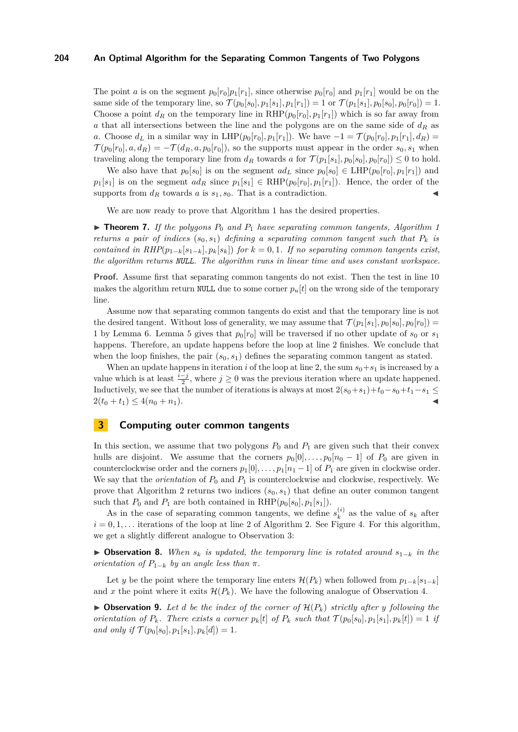#### **204 An Optimal Algorithm for the Separating Common Tangents of Two Polygons**

The point *a* is on the segment  $p_0[r_0]p_1[r_1]$ , since otherwise  $p_0[r_0]$  and  $p_1[r_1]$  would be on the same side of the temporary line, so  $\mathcal{T}(p_0[s_0], p_1[s_1], p_1[r_1]) = 1$  or  $\mathcal{T}(p_1[s_1], p_0[s_0], p_0[r_0]) = 1$ . Choose a point  $d_R$  on the temporary line in  $RHP(p_0[r_0], p_1[r_1])$  which is so far away from *a* that all intersections between the line and the polygons are on the same side of *d<sup>R</sup>* as *a*. Choose  $d_L$  in a similar way in LHP( $p_0[r_0], p_1[r_1]$ ). We have  $-1 = \mathcal{T}(p_0[r_0], p_1[r_1], d_R)$  $\mathcal{T}(p_0[r_0], a, d_R) = -\mathcal{T}(d_R, a, p_0[r_0]),$  so the supports must appear in the order  $s_0, s_1$  when traveling along the temporary line from  $d_R$  towards *a* for  $\mathcal{T}(p_1[s_1], p_0[s_0], p_0[r_0]) \leq 0$  to hold.

We also have that  $p_0[s_0]$  is on the segment  $ad_L$  since  $p_0[s_0] \in \text{LHP}(p_0[r_0], p_1[r_1])$  and  $p_1[s_1]$  is on the segment  $ad_R$  since  $p_1[s_1] \in RHP(p_0[r_0], p_1[r_1])$ . Hence, the order of the supports from  $d_R$  towards  $a$  is  $s_1, s_0$ . That is a contradiction.

We are now ready to prove that Algorithm [1](#page-3-0) has the desired properties.

<span id="page-6-2"></span> $\triangleright$  **Theorem 7.** If the polygons  $P_0$  and  $P_1$  have separating common tangents, Algorithm [1](#page-3-0) *returns a pair of indices*  $(s_0, s_1)$  *defining a separating common tangent such that*  $P_k$  *is contained in*  $RHP(p_{1-k}|s_{1-k}, p_k|s_k)$  *for*  $k = 0, 1$ *. If no separating common tangents exist, the algorithm returns NULL. The algorithm runs in linear time and uses constant workspace.*

**Proof.** Assume first that separating common tangents do not exist. Then the test in line [10](#page-3-2) makes the algorithm return NULL due to some corner  $p_u[t]$  on the wrong side of the temporary line.

Assume now that separating common tangents do exist and that the temporary line is not the desired tangent. Without loss of generality, we may assume that  $\mathcal{T}(p_1[s_1], p_0[s_0], p_0[r_0]) =$ 1 by Lemma [6.](#page-5-1) Lemma [5](#page-4-1) gives that  $p_0[r_0]$  will be traversed if no other update of  $s_0$  or  $s_1$ happens. Therefore, an update happens before the loop at line [2](#page-3-3) finishes. We conclude that when the loop finishes, the pair  $(s_0, s_1)$  defines the separating common tangent as stated.

When an update happens in iteration *i* of the loop at line [2,](#page-3-3) the sum  $s_0 + s_1$  is increased by a value which is at least  $\frac{i-j}{2}$ , where  $j \geq 0$  was the previous iteration where an update happened. Inductively, we see that the number of iterations is always at most  $2(s_0+s_1)+t_0-s_0+t_1-s_1 \leq$  $2(t_0 + t_1) \leq 4(n_0 + n_1).$ 

## **3 Computing outer common tangents**

In this section, we assume that two polygons  $P_0$  and  $P_1$  are given such that their convex hulls are disjoint. We assume that the corners  $p_0[0], \ldots, p_0[n_0-1]$  of  $P_0$  are given in counterclockwise order and the corners  $p_1[0], \ldots, p_1[n_1-1]$  of  $P_1$  are given in clockwise order. We say that the *orientation* of  $P_0$  and  $P_1$  is counterclockwise and clockwise, respectively. We prove that Algorithm [2](#page-7-0) returns two indices  $(s_0, s_1)$  that define an outer common tangent such that  $P_0$  and  $P_1$  are both contained in  $RHP(p_0[s_0], p_1[s_1])$ .

As in the case of separating common tangents, we define  $s_k^{(i)}$  $k^{(i)}_k$  as the value of  $s_k$  after  $i = 0, 1, \ldots$  iterations of the loop at line [2](#page-7-1) of Algorithm [2.](#page-7-0) See Figure [4.](#page-7-2) For this algorithm, we get a slightly different analogue to Observation [3:](#page-3-8)

<span id="page-6-1"></span>I **Observation 8.** *When s<sup>k</sup> is updated, the temporary line is rotated around s*1−*<sup>k</sup> in the orientation of*  $P_{1-k}$  *by an angle less than*  $\pi$ *.* 

Let *y* be the point where the temporary line enters  $\mathcal{H}(P_k)$  when followed from  $p_{1-k}[s_{1-k}]$ and *x* the point where it exits  $\mathcal{H}(P_k)$ . We have the following analogue of Observation [4.](#page-4-0)

<span id="page-6-0"></span> $\triangleright$  **Observation 9.** Let *d* be the index of the corner of  $\mathcal{H}(P_k)$  strictly after *y* following the orientation of  $P_k$ . There exists a corner  $p_k[t]$  of  $P_k$  such that  $\mathcal{T}(p_0[s_0], p_1[s_1], p_k[t]) = 1$  if *and only if*  $\mathcal{T}(p_0[s_0], p_1[s_1], p_k[d]) = 1$ *.*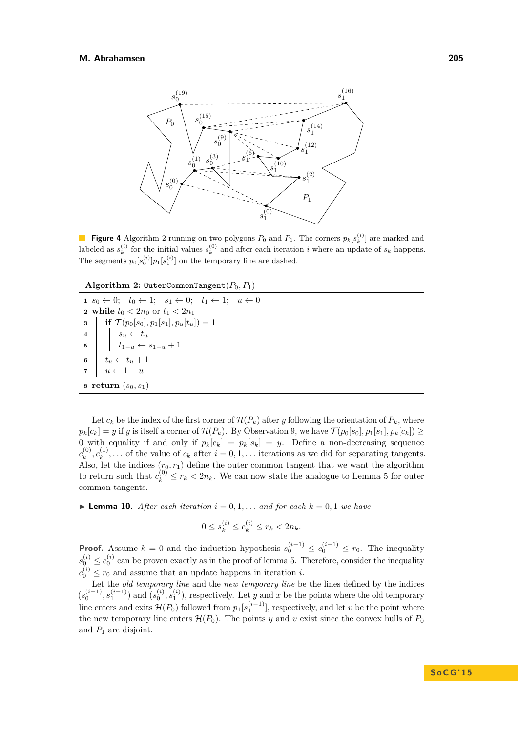<span id="page-7-2"></span>

**Figure 4** Algorithm [2](#page-7-0) running on two polygons  $P_0$  and  $P_1$ . The corners  $p_k[s_k^{(i)}]$  are marked and labeled as  $s_k^{(i)}$  for the initial values  $s_k^{(0)}$  and after each iteration *i* where an update of  $s_k$  happens. The segments  $p_0[s_0^{(i)}]p_1[s_1^{(i)}]$  on the temporary line are dashed.

<span id="page-7-1"></span>

| Algorithm 2: 0uterCommonTangent $(P_0, P_1)$                                               |
|--------------------------------------------------------------------------------------------|
| $1 s_0 \leftarrow 0; t_0 \leftarrow 1; s_1 \leftarrow 0; t_1 \leftarrow 1; u \leftarrow 0$ |
| <b>2</b> while $t_0 < 2n_0$ or $t_1 < 2n_1$                                                |
| <b>3</b>   <b>if</b> $\mathcal{T}(p_0[s_0], p_1[s_1], p_u[t_u]) = 1$                       |
|                                                                                            |
|                                                                                            |
| 6 $t_u \leftarrow t_u + 1$<br>7 $u \leftarrow 1 - u$                                       |
|                                                                                            |
| $\mathbf{s}$ return $(s_0, s_1)$                                                           |

<span id="page-7-0"></span>Let  $c_k$  be the index of the first corner of  $\mathcal{H}(P_k)$  after *y* following the orientation of  $P_k$ , where  $p_k[c_k] = y$  if *y* is itself a corner of  $\mathcal{H}(P_k)$ . By Observation [9,](#page-6-0) we have  $\mathcal{T}(p_0[s_0], p_1[s_1], p_k[c_k]) \ge$ 0 with equality if and only if  $p_k[c_k] = p_k[s_k] = y$ . Define a non-decreasing sequence  $c_k^{(0)}$  $k^{(0)}, c_k^{(1)}$  $f_k^{(1)}$ , ... of the value of  $c_k$  after  $i = 0, 1, \ldots$  iterations as we did for separating tangents. Also, let the indices  $(r_0, r_1)$  define the outer common tangent that we want the algorithm to return such that  $c_k^{(0)} \leq r_k < 2n_k$ . We can now state the analogue to Lemma [5](#page-4-1) for outer common tangents.

<span id="page-7-3"></span> $\blacktriangleright$  **Lemma 10.** *After each iteration*  $i = 0, 1, \ldots$  *and for each*  $k = 0, 1$  *we have* 

$$
0 \le s_k^{(i)} \le c_k^{(i)} \le r_k < 2n_k.
$$

**Proof.** Assume  $k = 0$  and the induction hypothesis  $s_0^{(i-1)} \n\t\leq c_0^{(i-1)} \leq r_0$ . The inequality  $s_0^{(i)} \leq c_0^{(i)}$  can be proven exactly as in the proof of lemma [5.](#page-4-1) Therefore, consider the inequality  $c_0^{(i)} \leq r_0$  and assume that an update happens in iteration *i*.

Let the *old temporary line* and the *new temporary line* be the lines defined by the indices  $(s_0^{(i-1)}, s_1^{(i-1)})$  and  $(s_0^{(i)}, s_1^{(i)})$ , respectively. Let *y* and *x* be the points where the old temporary line enters and exits  $\mathcal{H}(P_0)$  followed from  $p_1[s_1^{(i-1)}]$ , respectively, and let *v* be the point where the new temporary line enters  $\mathcal{H}(P_0)$ . The points *y* and *v* exist since the convex hulls of  $P_0$ and  $P_1$  are disjoint.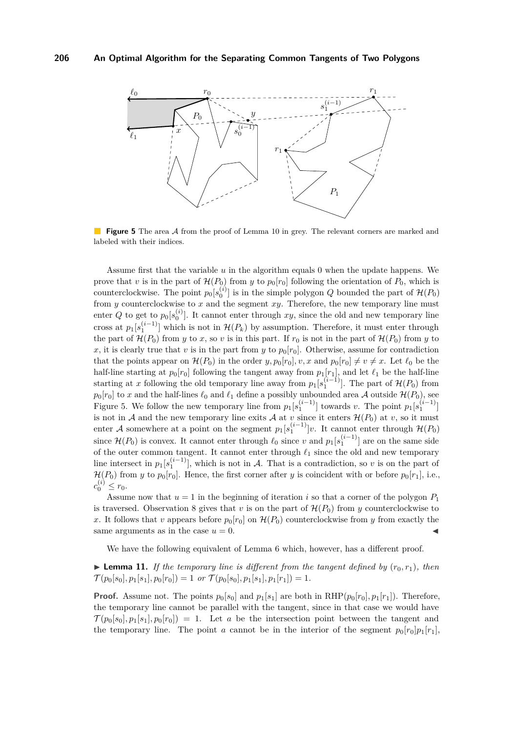<span id="page-8-0"></span>

**Figure 5** The area A from the proof of Lemma [10](#page-7-3) in grey. The relevant corners are marked and labeled with their indices.

Assume first that the variable *u* in the algorithm equals 0 when the update happens. We prove that *v* is in the part of  $\mathcal{H}(P_0)$  from *y* to  $p_0[r_0]$  following the orientation of  $P_0$ , which is counterclockwise. The point  $p_0[s_0^{(i)}]$  is in the simple polygon *Q* bounded the part of  $\mathcal{H}(P_0)$ from *y* counterclockwise to *x* and the segment *xy*. Therefore, the new temporary line must enter *Q* to get to  $p_0[s_0^{(i)}]$ . It cannot enter through *xy*, since the old and new temporary line cross at  $p_1[s_1^{(i-1)}]$  which is not in  $\mathcal{H}(P_k)$  by assumption. Therefore, it must enter through the part of  $\mathcal{H}(P_0)$  from *y* to *x*, so *v* is in this part. If  $r_0$  is not in the part of  $\mathcal{H}(P_0)$  from *y* to *x*, it is clearly true that *v* is in the part from *y* to  $p_0[r_0]$ . Otherwise, assume for contradiction that the points appear on  $\mathcal{H}(P_0)$  in the order  $y, p_0[r_0], v, x$  and  $p_0[r_0] \neq v \neq x$ . Let  $\ell_0$  be the half-line starting at  $p_0[r_0]$  following the tangent away from  $p_1[r_1]$ , and let  $\ell_1$  be the half-line starting at *x* following the old temporary line away from  $p_1[s_1^{(i-1)}]$ . The part of  $\mathcal{H}(P_0)$  from  $p_0[r_0]$  to *x* and the half-lines  $\ell_0$  and  $\ell_1$  define a possibly unbounded area A outside  $\mathcal{H}(P_0)$ , see Figure [5.](#page-8-0) We follow the new temporary line from  $p_1[s_1^{(i-1)}]$  towards *v*. The point  $p_1[s_1^{(i-1)}]$ is not in  $A$  and the new temporary line exits  $A$  at  $v$  since it enters  $\mathcal{H}(P_0)$  at  $v$ , so it must enter A somewhere at a point on the segment  $p_1[s_1^{(i-1)}]v$ . It cannot enter through  $\mathcal{H}(P_0)$ since  $\mathcal{H}(P_0)$  is convex. It cannot enter through  $\ell_0$  since  $v$  and  $p_1[s_1^{(i-1)}]$  are on the same side of the outer common tangent. It cannot enter through  $\ell_1$  since the old and new temporary line intersect in  $p_1[s_1^{(i-1)}]$ , which is not in A. That is a contradiction, so *v* is on the part of  $\mathcal{H}(P_0)$  from *y* to  $p_0[r_0]$ . Hence, the first corner after *y* is coincident with or before  $p_0[r_1]$ , i.e.,  $c_0^{(i)} \le r_0.$ 

Assume now that  $u = 1$  in the beginning of iteration *i* so that a corner of the polygon  $P_1$ is traversed. Observation [8](#page-6-1) gives that *v* is on the part of  $\mathcal{H}(P_0)$  from *y* counterclockwise to *x*. It follows that *v* appears before  $p_0[r_0]$  on  $\mathcal{H}(P_0)$  counterclockwise from *y* from exactly the same arguments as in the case  $u = 0$ .

We have the following equivalent of Lemma [6](#page-5-1) which, however, has a different proof.

**Lemma 11.** If the temporary line is different from the tangent defined by  $(r_0, r_1)$ , then  $\mathcal{T}(p_0[s_0], p_1[s_1], p_0[r_0]) = 1$  *or*  $\mathcal{T}(p_0[s_0], p_1[s_1], p_1[r_1]) = 1$ *.* 

**Proof.** Assume not. The points  $p_0[s_0]$  and  $p_1[s_1]$  are both in RHP( $p_0[r_0], p_1[r_1]$ ). Therefore, the temporary line cannot be parallel with the tangent, since in that case we would have  $\mathcal{T}(p_0[s_0], p_1[s_1], p_0[r_0]) = 1$ . Let *a* be the intersection point between the tangent and the temporary line. The point *a* cannot be in the interior of the segment  $p_0[r_0]p_1[r_1]$ ,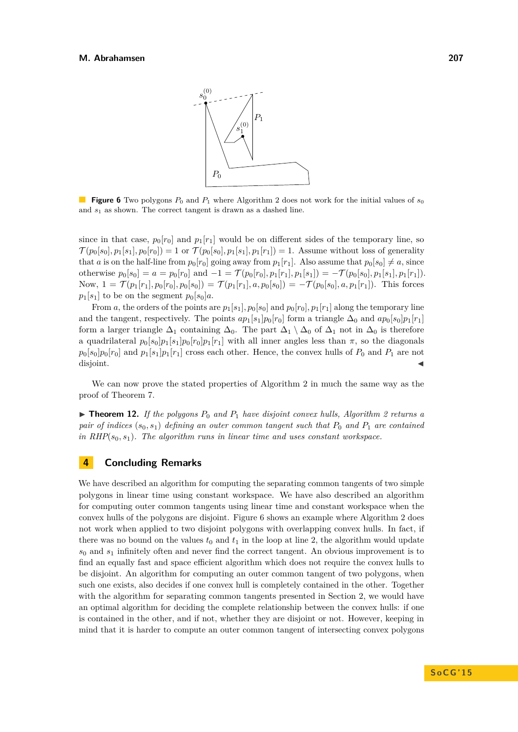<span id="page-9-0"></span>

**Figure 6** Two polygons  $P_0$  and  $P_1$  where Algorithm [2](#page-7-0) does not work for the initial values of  $s_0$ and *s*<sup>1</sup> as shown. The correct tangent is drawn as a dashed line.

since in that case,  $p_0[r_0]$  and  $p_1[r_1]$  would be on different sides of the temporary line, so  $\mathcal{T}(p_0[s_0], p_1[s_1], p_0[r_0]) = 1$  or  $\mathcal{T}(p_0[s_0], p_1[s_1], p_1[r_1]) = 1$ . Assume without loss of generality that *a* is on the half-line from  $p_0[r_0]$  going away from  $p_1[r_1]$ . Also assume that  $p_0[s_0] \neq a$ , since otherwise  $p_0[s_0] = a = p_0[r_0]$  and  $-1 = \mathcal{T}(p_0[r_0], p_1[r_1], p_1[s_1]) = -\mathcal{T}(p_0[s_0], p_1[s_1], p_1[r_1])$ . Now,  $1 = \mathcal{T}(p_1[r_1], p_0[r_0], p_0[s_0]) = \mathcal{T}(p_1[r_1], a, p_0[s_0]) = -\mathcal{T}(p_0[s_0], a, p_1[r_1])$ . This forces  $p_1[s_1]$  to be on the segment  $p_0[s_0]a$ .

From *a*, the orders of the points are  $p_1[s_1], p_0[s_0]$  and  $p_0[r_0], p_1[r_1]$  along the temporary line and the tangent, respectively. The points  $ap_1[s_1]p_0[r_0]$  form a triangle  $\Delta_0$  and  $ap_0[s_0]p_1[r_1]$ form a larger triangle  $\Delta_1$  containing  $\Delta_0$ . The part  $\Delta_1 \setminus \Delta_0$  of  $\Delta_1$  not in  $\Delta_0$  is therefore a quadrilateral  $p_0[s_0]p_1[s_1]p_0[r_0]p_1[r_1]$  with all inner angles less than  $\pi$ , so the diagonals  $p_0[s_0]p_0[r_0]$  and  $p_1[s_1]p_1[r_1]$  cross each other. Hence, the convex hulls of  $P_0$  and  $P_1$  are not disjoint.

We can now prove the stated properties of Algorithm [2](#page-7-0) in much the same way as the proof of Theorem [7.](#page-6-2)

 $\triangleright$  **Theorem 12.** If the polygons  $P_0$  and  $P_1$  have disjoint convex hulls, Algorithm [2](#page-7-0) returns a *pair of indices* (*s*0*, s*1) *defining an outer common tangent such that P*<sup>0</sup> *and P*<sup>1</sup> *are contained in RHP*( $s_0, s_1$ ). The algorithm runs in linear time and uses constant workspace.

## **4 Concluding Remarks**

We have described an algorithm for computing the separating common tangents of two simple polygons in linear time using constant workspace. We have also described an algorithm for computing outer common tangents using linear time and constant workspace when the convex hulls of the polygons are disjoint. Figure [6](#page-9-0) shows an example where Algorithm [2](#page-7-0) does not work when applied to two disjoint polygons with overlapping convex hulls. In fact, if there was no bound on the values  $t_0$  and  $t_1$  in the loop at line [2,](#page-7-1) the algorithm would update  $s_0$  and  $s_1$  infinitely often and never find the correct tangent. An obvious improvement is to find an equally fast and space efficient algorithm which does not require the convex hulls to be disjoint. An algorithm for computing an outer common tangent of two polygons, when such one exists, also decides if one convex hull is completely contained in the other. Together with the algorithm for separating common tangents presented in Section [2,](#page-2-1) we would have an optimal algorithm for deciding the complete relationship between the convex hulls: if one is contained in the other, and if not, whether they are disjoint or not. However, keeping in mind that it is harder to compute an outer common tangent of intersecting convex polygons